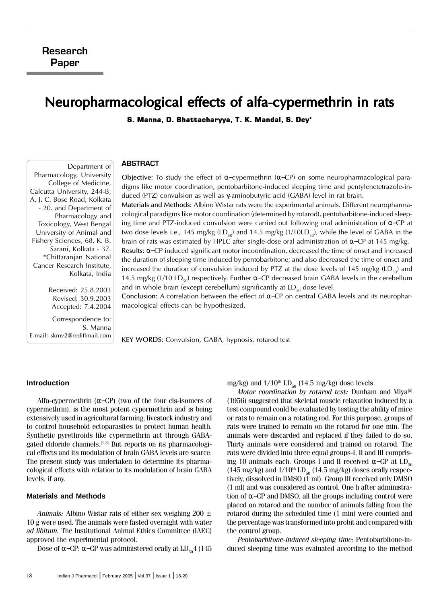# Neuropharmacological effects of alfa-cypermethrin in rats

S. Manna, D. Bhattacharyya, T. K. Mandal, S. Dey\*

## ABSTRACT

Objective: To study the effect of α–cypermethrin (α–CP) on some neuropharmacological paradigms like motor coordination, pentobarbitone-induced sleeping time and pentylenetetrazole-induced (PTZ) convulsion as well as γ-aminobutyric acid (GABA) level in rat brain.

Materials and Methods: Albino Wistar rats were the experimental animals. Different neuropharmacological paradigms like motor coordination (determined by rotarod), pentobarbitone-induced sleeping time and PTZ-induced convulsion were carried out following oral administration of α−CP at two dose levels i.e., 145 mg/kg  $(LD_{50})$  and 14.5 mg/kg  $(1/10LD_{50})$ , while the level of GABA in the brain of rats was estimated by HPLC after single-dose oral administration of  $\alpha$ –CP at 145 mg/kg. Results: α−CP induced significant motor incoordination, decreased the time of onset and increased

the duration of sleeping time induced by pentobarbitone; and also decreased the time of onset and increased the duration of convulsion induced by PTZ at the dose levels of 145 mg/kg (LD<sub>50</sub>) and 14.5 mg/kg (1/10 LD<sub>s0</sub>) respectively. Further α-CP decreased brain GABA levels in the cerebellum and in whole brain (except cerebellum) significantly at  $LD_{50}$  dose level.

Conclusion: A correlation between the effect of α−CP on central GABA levels and its neuropharmacological effects can be hypothesized.

KEY WORDS: Convulsion, GABA, hypnosis, rotarod test

## **Introduction**

Alfa-cypermethrin ( $\alpha$ -CP) (two of the four cis-isomers of cypermethrin), is the most potent cypermethrin and is being extensively used in agricultural farming, livestock industry and to control household ectoparasites to protect human health. Synthetic pyrethroids like cypermethrin act through GABAgated chloride channels.<sup>[1-3]</sup> But reports on its pharmacological effects and its modulation of brain GABA levels are scarce. The present study was undertaken to determine its pharmacological effects with relation to its modulation of brain GABA levels, if any.

## **Materials and Methods**

Animals: Albino Wistar rats of either sex weighing 200  $\pm$ 10 g were used. The animals were fasted overnight with water ad libitum. The Institutional Animal Ethics Committee (IAEC) approved the experimental protocol.

Dose of α–CP: α–CP was administered orally at  $LD_{50}4$  (145

mg/kg) and  $1/10^{th}$  LD<sub>50</sub> (14.5 mg/kg) dose levels.

Motor coordination by rotarod test: Dunham and Miya<sup>[5]</sup> (1956) suggested that skeletal muscle relaxation induced by a test compound could be evaluated by testing the ability of mice or rats to remain on a rotating rod. For this purpose, groups of rats were trained to remain on the rotarod for one min. The animals were discarded and replaced if they failed to do so. Thirty animals were considered and trained on rotarod. The rats were divided into three equal groups-I, II and III comprising 10 animals each. Groups I and II received  $\alpha$ –CP at LD<sub>50</sub> (145 mg/kg) and  $1/10^{th}$  LD<sub>50</sub> (14.5 mg/kg) doses orally respectively, dissolved in DMSO (1 ml). Group III received only DMSO (1 ml) and was considered as control. One h after administration of α−CP and DMSO, all the groups including control were placed on rotarod and the number of animals falling from the rotarod during the scheduled time (1 min) were counted and the percentage was transformed into probit and compared with the control group.

Pentobarbitone-induced sleeping time: Pentobarbitone-induced sleeping time was evaluated according to the method

Pharmacology, University College of Medicine, Calcutta University, 244-B, A. J. C. Bose Road, Kolkata - 20. and Department of Pharmacology and Toxicology, West Bengal University of Animal and Fishery Sciences, 68, K. B. Sarani, Kolkata - 37. \*Chittaranjan National Cancer Research Institute, Kolkata, India Received: 25.8.2003

Department of

Revised: 30.9.2003 Accepted: 7.4.2004

Correspondence to: S. Manna E-mail: skmv2@rediffmail.com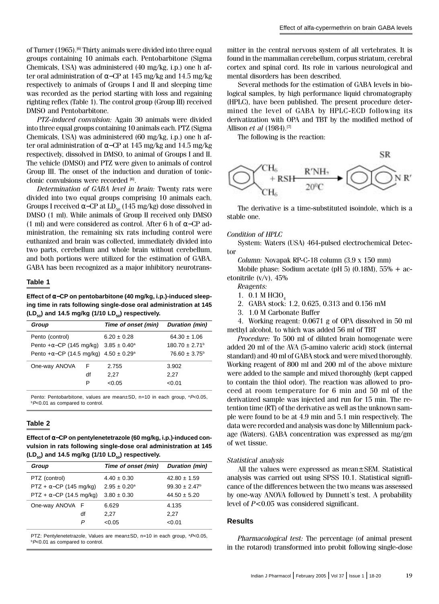of Turner (1965).<sup>[6]</sup> Thirty animals were divided into three equal groups containing 10 animals each. Pentobarbitone (Sigma Chemicals, USA) was administered (40 mg/kg, i.p.) one h after oral administration of α−CP at 145 mg/kg and 14.5 mg/kg respectively to animals of Groups I and II and sleeping time was recorded as the period starting with loss and regaining righting reflex (Table 1). The control group (Group III) received DMSO and Pentobarbitone.

PTZ-induced convulsion: Again 30 animals were divided into three equal groups containing 10 animals each. PTZ (Sigma Chemicals, USA) was administered (60 mg/kg, i.p.) one h after oral administration of α−CP at 145 mg/kg and 14.5 mg/kg respectively, dissolved in DMSO, to animal of Groups I and II. The vehicle (DMSO) and PTZ were given to animals of control Group III. The onset of the induction and duration of tonicclonic convulsions were recorded  $[6]$ .

Determination of GABA level in brain: Twenty rats were divided into two equal groups comprising 10 animals each. Groups I received  $\alpha$ –CP at LD<sub>50</sub> (145 mg/kg) dose dissolved in DMSO (1 ml). While animals of Group II received only DMSO (1 ml) and were considered as control. After 6 h of α−CP administration, the remaining six rats including control were euthanized and brain was collected, immediately divided into two parts, cerebellum and whole brain without cerebellum, and both portions were utilized for the estimation of GABA. GABA has been recognized as a major inhibitory neurotrans-

## **Table 1**

**Effect of** α−**CP on pentobarbitone (40 mg/kg, i.p.)-induced sleeping time in rats following single-dose oral administration at 145** (LD<sub>50</sub>) and 14.5 mg/kg (1/10 LD<sub>50</sub>) respectively.

| Group                                                      |    | Time of onset (min) | Duration (min)                 |
|------------------------------------------------------------|----|---------------------|--------------------------------|
| Pento (control)                                            |    | $6.20 \pm 0.28$     | $64.30 \pm 1.06$               |
| Pento + $\alpha$ –CP (145 mg/kg) 3.85 ± 0.40 <sup>a</sup>  |    |                     | $180.70 \pm 2.71$ <sup>b</sup> |
| Pento + $\alpha$ -CP (14.5 mg/kg) 4.50 ± 0.29 <sup>a</sup> |    |                     | $76.60 \pm 3.75^{\circ}$       |
| One-way ANOVA                                              | F  | 2.755               | 3.902                          |
|                                                            | df | 2.27                | 2.27                           |
|                                                            | P  | < 0.05              | < 0.01                         |

Pento: Pentobarbitone, values are mean $\pm$ SD, n=10 in each group,  ${}^{a}P<0.05$ . **bP**<0.01 as compared to control.

# **Table 2**

**Effect of** α−**CP on pentylenetetrazole (60 mg/kg, i.p.)-induced convulsion in rats following single-dose oral administration at 145**  $(LD<sub>50</sub>)$  and 14.5 mg/kg (1/10  $LD<sub>50</sub>$ ) respectively.

| Group                           |    | Time of onset (min)     | Duration (min)     |
|---------------------------------|----|-------------------------|--------------------|
| PTZ (control)                   |    | $4.40 \pm 0.30$         | $42.80 \pm 1.59$   |
| $PTZ + \alpha$ -CP (145 mg/kg)  |    | $2.95 \pm 0.20^{\circ}$ | $99.30 \pm 2.47^b$ |
| $PTZ + \alpha$ -CP (14.5 mg/kg) |    | $3.80 \pm 0.30$         | $44.50 \pm 5.20$   |
| One-way ANOVA F                 |    | 6.629                   | 4.135              |
|                                 | df | 2.27                    | 2.27               |
|                                 | P  | < 0.05                  | < 0.01             |
|                                 |    |                         |                    |

PTZ: Pentylenetetrazole, Values are mean±SD, n=10 in each group, <sup>a</sup>P<0.05,  $bP<0.01$  as compared to control.

mitter in the central nervous system of all vertebrates. It is found in the mammalian cerebellum, corpus striatum, cerebral cortex and spinal cord. Its role in various neurological and mental disorders has been described.

Several methods for the estimation of GABA levels in biological samples, by high performance liquid chromatography (HPLC), have been published. The present procedure determined the level of GABA by HPLC-ECD following its derivatization with OPA and TBT by the modified method of Allison et al (1984).<sup>[7]</sup>

The following is the reaction:



The derivative is a time-substituted isoindole, which is a stable one.

## Condition of HPLC

System: Waters (USA) 464-pulsed electrochemical Detector

Column: Novapak RP-C-18 column (3.9 x 150 mm)

Mobile phase: Sodium acetate (pH 5)  $(0.18M)$ , 55% + acetonitrile (v/v), 45%

Reagents:

- 1.  $0.1 M$  HClO<sub>4</sub>
- 2. GABA stock: 1.2, 0.625, 0.313 and 0.156 mM
- 3. 1.0 M Carbonate Buffer

4. Working reagent: 0.0671 g of OPA dissolved in 50 ml methyl alcohol, to which was added 56 ml of TBT

Procedure: To 500 ml of diluted brain homogenate were added 20 ml of the AVA (5-amino valeric acid) stock (internal standard) and 40 ml of GABA stock and were mixed thoroughly. Working reagent of 800 ml and 200 ml of the above mixture were added to the sample and mixed thoroughly (kept capped to contain the thiol odor). The reaction was allowed to proceed at room temperature for 6 min and 50 ml of the derivatized sample was injected and run for 15 min. The retention time (RT) of the derivative as well as the unknown sample were found to be at 4.9 min and 5.1 min respectively. The data were recorded and analysis was done by Millennium package (Waters). GABA concentration was expressed as mg/gm of wet tissue.

# Statistical analysis

All the values were expressed as mean±SEM. Statistical analysis was carried out using SPSS 10.1. Statistical significance of the differences between the two means was assessed by one-way ANOVA followed by Dunnett's test. A probability level of P<0.05 was considered significant.

# **Results**

Pharmacological test: The percentage (of animal present in the rotarod) transformed into probit following single-dose